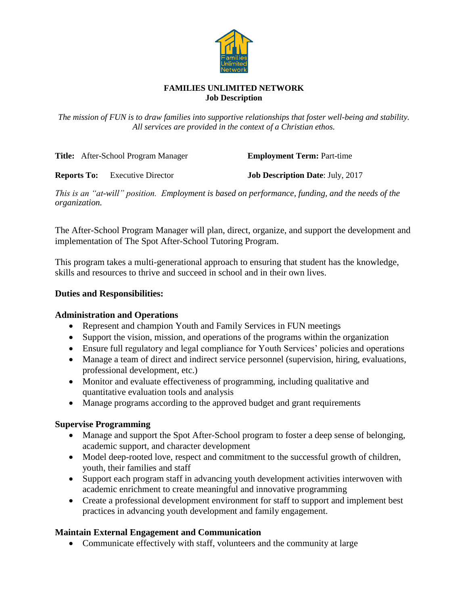

#### **FAMILIES UNLIMITED NETWORK Job Description**

*The mission of FUN is to draw families into supportive relationships that foster well-being and stability. All services are provided in the context of a Christian ethos.*

**Title:** After-School Program Manager **Employment Term:** Part-time

**Reports To:** Executive Director **Job Description Date**: July, 2017

*This is an "at-will" position. Employment is based on performance, funding, and the needs of the organization.*

The After-School Program Manager will plan, direct, organize, and support the development and implementation of The Spot After-School Tutoring Program.

This program takes a multi-generational approach to ensuring that student has the knowledge, skills and resources to thrive and succeed in school and in their own lives.

#### **Duties and Responsibilities:**

#### **Administration and Operations**

- Represent and champion Youth and Family Services in FUN meetings
- Support the vision, mission, and operations of the programs within the organization
- Ensure full regulatory and legal compliance for Youth Services' policies and operations
- Manage a team of direct and indirect service personnel (supervision, hiring, evaluations, professional development, etc.)
- Monitor and evaluate effectiveness of programming, including qualitative and quantitative evaluation tools and analysis
- Manage programs according to the approved budget and grant requirements

### **Supervise Programming**

- Manage and support the Spot After-School program to foster a deep sense of belonging, academic support, and character development
- Model deep-rooted love, respect and commitment to the successful growth of children, youth, their families and staff
- Support each program staff in advancing youth development activities interwoven with academic enrichment to create meaningful and innovative programming
- Create a professional development environment for staff to support and implement best practices in advancing youth development and family engagement.

### **Maintain External Engagement and Communication**

• Communicate effectively with staff, volunteers and the community at large